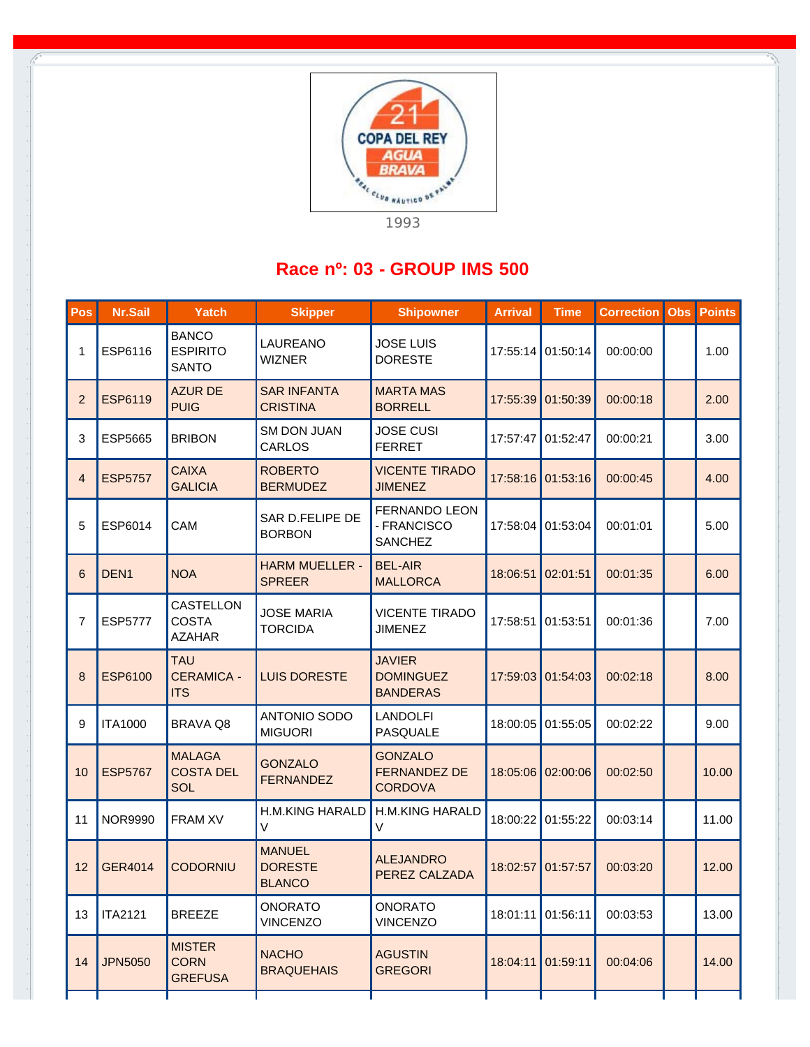

## **Race nº: 03 - GROUP IMS 500**

| Pos            | Nr.Sail          | Yatch                                           | <b>Skipper</b>                                   | <b>Shipowner</b>                                        | <b>Arrival</b> | <b>Time</b> | <b>Correction</b> | <b>Obs</b> | <b>Points</b> |
|----------------|------------------|-------------------------------------------------|--------------------------------------------------|---------------------------------------------------------|----------------|-------------|-------------------|------------|---------------|
| 1              | ESP6116          | <b>BANCO</b><br><b>ESPIRITO</b><br><b>SANTO</b> | LAUREANO<br><b>WIZNER</b>                        | <b>JOSE LUIS</b><br><b>DORESTE</b>                      | 17:55:14       | 01:50:14    | 00:00:00          |            | 1.00          |
| 2              | <b>ESP6119</b>   | <b>AZUR DE</b><br><b>PUIG</b>                   | <b>SAR INFANTA</b><br><b>CRISTINA</b>            | <b>MARTA MAS</b><br><b>BORRELL</b>                      | 17:55:39       | 01:50:39    | 00:00:18          |            | 2.00          |
| 3              | ESP5665          | <b>BRIBON</b>                                   | <b>SM DON JUAN</b><br>CARLOS                     | <b>JOSE CUSI</b><br><b>FERRET</b>                       | 17:57:47       | 01:52:47    | 00:00:21          |            | 3.00          |
| $\overline{4}$ | <b>ESP5757</b>   | <b>CAIXA</b><br><b>GALICIA</b>                  | <b>ROBERTO</b><br><b>BERMUDEZ</b>                | <b>VICENTE TIRADO</b><br><b>JIMENEZ</b>                 | 17:58:16       | 01:53:16    | 00:00:45          |            | 4.00          |
| 5              | ESP6014          | CAM                                             | SAR D.FELIPE DE<br><b>BORBON</b>                 | <b>FERNANDO LEON</b><br>- FRANCISCO<br><b>SANCHEZ</b>   | 17:58:04       | 01:53:04    | 00:01:01          |            | 5.00          |
| 6              | DEN <sub>1</sub> | <b>NOA</b>                                      | <b>HARM MUELLER -</b><br><b>SPREER</b>           | <b>BEL-AIR</b><br><b>MALLORCA</b>                       | 18:06:51       | 02:01:51    | 00:01:35          |            | 6.00          |
| $\overline{7}$ | <b>ESP5777</b>   | CASTELLON<br><b>COSTA</b><br><b>AZAHAR</b>      | <b>JOSE MARIA</b><br><b>TORCIDA</b>              | <b>VICENTE TIRADO</b><br><b>JIMENEZ</b>                 | 17:58:51       | 01:53:51    | 00:01:36          |            | 7.00          |
| 8              | <b>ESP6100</b>   | <b>TAU</b><br><b>CERAMICA -</b><br><b>ITS</b>   | <b>LUIS DORESTE</b>                              | <b>JAVIER</b><br><b>DOMINGUEZ</b><br><b>BANDERAS</b>    | 17:59:03       | 01:54:03    | 00:02:18          |            | 8.00          |
| 9              | <b>ITA1000</b>   | <b>BRAVA Q8</b>                                 | ANTONIO SODO<br><b>MIGUORI</b>                   | <b>LANDOLFI</b><br>PASQUALE                             | 18:00:05       | 01:55:05    | 00:02:22          |            | 9.00          |
| 10             | <b>ESP5767</b>   | <b>MALAGA</b><br><b>COSTA DEL</b><br><b>SOL</b> | <b>GONZALO</b><br><b>FERNANDEZ</b>               | <b>GONZALO</b><br><b>FERNANDEZ DE</b><br><b>CORDOVA</b> | 18:05:06       | 02:00:06    | 00:02:50          |            | 10.00         |
| 11             | <b>NOR9990</b>   | <b>FRAM XV</b>                                  | <b>H.M.KING HARALD</b><br>$\vee$                 | <b>H.M.KING HARALD</b><br>$\vee$                        | 18:00:22       | 01:55:22    | 00:03:14          |            | 11.00         |
| 12             | GER4014          | <b>CODORNIU</b>                                 | <b>MANUEL</b><br><b>DORESTE</b><br><b>BLANCO</b> | <b>ALEJANDRO</b><br>PEREZ CALZADA                       | 18:02:57       | 01:57:57    | 00:03:20          |            | 12.00         |
| 13             | <b>ITA2121</b>   | <b>BREEZE</b>                                   | <b>ONORATO</b><br><b>VINCENZO</b>                | <b>ONORATO</b><br><b>VINCENZO</b>                       | 18:01:11       | 01:56:11    | 00:03:53          |            | 13.00         |
| 14             | <b>JPN5050</b>   | <b>MISTER</b><br><b>CORN</b><br><b>GREFUSA</b>  | <b>NACHO</b><br><b>BRAQUEHAIS</b>                | <b>AGUSTIN</b><br><b>GREGORI</b>                        | 18:04:11       | 01:59:11    | 00:04:06          |            | 14.00         |
|                |                  |                                                 |                                                  |                                                         |                |             |                   |            |               |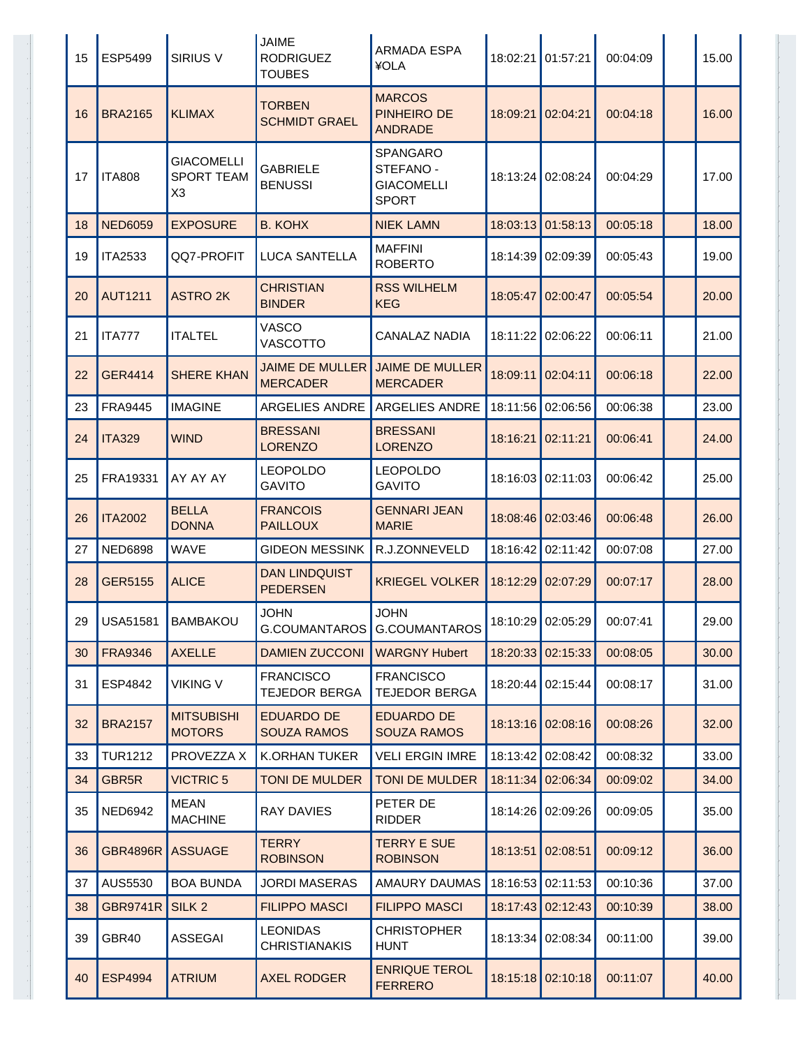| 15 | ESP5499         | <b>SIRIUS V</b>                                          | <b>JAIME</b><br><b>RODRIGUEZ</b><br><b>TOUBES</b> | ARMADA ESPA<br>¥OLA                                        | 18:02:21 | 01:57:21          | 00:04:09 | 15.00 |
|----|-----------------|----------------------------------------------------------|---------------------------------------------------|------------------------------------------------------------|----------|-------------------|----------|-------|
| 16 | <b>BRA2165</b>  | <b>KLIMAX</b>                                            | <b>TORBEN</b><br><b>SCHMIDT GRAEL</b>             | <b>MARCOS</b><br><b>PINHEIRO DE</b><br><b>ANDRADE</b>      | 18:09:21 | 02:04:21          | 00:04:18 | 16.00 |
| 17 | <b>ITA808</b>   | <b>GIACOMELLI</b><br><b>SPORT TEAM</b><br>X <sub>3</sub> | <b>GABRIELE</b><br><b>BENUSSI</b>                 | SPANGARO<br>STEFANO -<br><b>GIACOMELLI</b><br><b>SPORT</b> | 18:13:24 | 02:08:24          | 00:04:29 | 17.00 |
| 18 | <b>NED6059</b>  | <b>EXPOSURE</b>                                          | <b>B. KOHX</b>                                    | <b>NIEK LAMN</b>                                           | 18:03:13 | 01:58:13          | 00:05:18 | 18.00 |
| 19 | <b>ITA2533</b>  | QQ7-PROFIT                                               | <b>LUCA SANTELLA</b>                              | <b>MAFFINI</b><br><b>ROBERTO</b>                           | 18:14:39 | 02:09:39          | 00:05:43 | 19.00 |
| 20 | <b>AUT1211</b>  | <b>ASTRO 2K</b>                                          | <b>CHRISTIAN</b><br><b>BINDER</b>                 | <b>RSS WILHELM</b><br><b>KEG</b>                           | 18:05:47 | 02:00:47          | 00:05:54 | 20.00 |
| 21 | <b>ITA777</b>   | <b>ITALTEL</b>                                           | VASCO<br><b>VASCOTTO</b>                          | CANALAZ NADIA                                              | 18:11:22 | 02:06:22          | 00:06:11 | 21.00 |
| 22 | <b>GER4414</b>  | <b>SHERE KHAN</b>                                        | <b>JAIME DE MULLER</b><br><b>MERCADER</b>         | <b>JAIME DE MULLER</b><br><b>MERCADER</b>                  | 18:09:11 | 02:04:11          | 00:06:18 | 22.00 |
| 23 | <b>FRA9445</b>  | <b>IMAGINE</b>                                           | <b>ARGELIES ANDRE</b>                             | <b>ARGELIES ANDRE</b>                                      | 18:11:56 | 02:06:56          | 00:06:38 | 23.00 |
| 24 | <b>ITA329</b>   | <b>WIND</b>                                              | <b>BRESSANI</b><br><b>LORENZO</b>                 | <b>BRESSANI</b><br><b>LORENZO</b>                          | 18:16:21 | 02:11:21          | 00:06:41 | 24.00 |
| 25 | FRA19331        | AY AY AY                                                 | <b>LEOPOLDO</b><br><b>GAVITO</b>                  | <b>LEOPOLDO</b><br><b>GAVITO</b>                           | 18:16:03 | 02:11:03          | 00:06:42 | 25.00 |
| 26 | <b>ITA2002</b>  | <b>BELLA</b><br><b>DONNA</b>                             | <b>FRANCOIS</b><br><b>PAILLOUX</b>                | <b>GENNARI JEAN</b><br><b>MARIE</b>                        | 18:08:46 | 02:03:46          | 00:06:48 | 26.00 |
| 27 | <b>NED6898</b>  | <b>WAVE</b>                                              | <b>GIDEON MESSINK</b>                             | R.J.ZONNEVELD                                              | 18:16:42 | 02:11:42          | 00:07:08 | 27.00 |
| 28 | <b>GER5155</b>  | <b>ALICE</b>                                             | <b>DAN LINDQUIST</b><br><b>PEDERSEN</b>           | <b>KRIEGEL VOLKER</b>                                      | 18:12:29 | 02:07:29          | 00:07:17 | 28.00 |
| 29 | <b>USA51581</b> | <b>BAMBAKOU</b>                                          | JOHN                                              | <b>JOHN</b><br>G.COUMANTAROS G.COUMANTAROS                 |          | 18:10:29 02:05:29 | 00:07:41 | 29.00 |
| 30 | <b>FRA9346</b>  | <b>AXELLE</b>                                            | <b>DAMIEN ZUCCONI</b>                             | <b>WARGNY Hubert</b>                                       | 18:20:33 | 02:15:33          | 00:08:05 | 30.00 |
| 31 | ESP4842         | <b>VIKING V</b>                                          | <b>FRANCISCO</b><br><b>TEJEDOR BERGA</b>          | <b>FRANCISCO</b><br><b>TEJEDOR BERGA</b>                   | 18:20:44 | 02:15:44          | 00:08:17 | 31.00 |
| 32 | <b>BRA2157</b>  | <b>MITSUBISHI</b><br><b>MOTORS</b>                       | <b>EDUARDO DE</b><br><b>SOUZA RAMOS</b>           | <b>EDUARDO DE</b><br><b>SOUZA RAMOS</b>                    | 18:13:16 | 02:08:16          | 00:08:26 | 32.00 |
| 33 | <b>TUR1212</b>  | PROVEZZA X                                               | <b>K.ORHAN TUKER</b>                              | <b>VELI ERGIN IMRE</b>                                     | 18:13:42 | 02:08:42          | 00:08:32 | 33.00 |
| 34 | GBR5R           | <b>VICTRIC 5</b>                                         | <b>TONI DE MULDER</b>                             | <b>TONI DE MULDER</b>                                      | 18:11:34 | 02:06:34          | 00:09:02 | 34.00 |
| 35 | <b>NED6942</b>  | <b>MEAN</b><br><b>MACHINE</b>                            | <b>RAY DAVIES</b>                                 | PETER DE<br><b>RIDDER</b>                                  | 18:14:26 | 02:09:26          | 00:09:05 | 35.00 |
| 36 | <b>GBR4896R</b> | <b>ASSUAGE</b>                                           | <b>TERRY</b><br><b>ROBINSON</b>                   | <b>TERRY E SUE</b><br><b>ROBINSON</b>                      | 18:13:51 | 02:08:51          | 00:09:12 | 36.00 |
| 37 | AUS5530         | <b>BOA BUNDA</b>                                         | <b>JORDI MASERAS</b>                              | AMAURY DAUMAS                                              | 18:16:53 | 02:11:53          | 00:10:36 | 37.00 |
| 38 | <b>GBR9741R</b> | SILK <sub>2</sub>                                        | <b>FILIPPO MASCI</b>                              | <b>FILIPPO MASCI</b>                                       | 18:17:43 | 02:12:43          | 00:10:39 | 38.00 |
| 39 | GBR40           | <b>ASSEGAI</b>                                           | <b>LEONIDAS</b><br><b>CHRISTIANAKIS</b>           | <b>CHRISTOPHER</b><br><b>HUNT</b>                          | 18:13:34 | 02:08:34          | 00:11:00 | 39.00 |
| 40 | <b>ESP4994</b>  | <b>ATRIUM</b>                                            | <b>AXEL RODGER</b>                                | <b>ENRIQUE TEROL</b><br><b>FERRERO</b>                     | 18:15:18 | 02:10:18          | 00:11:07 | 40.00 |